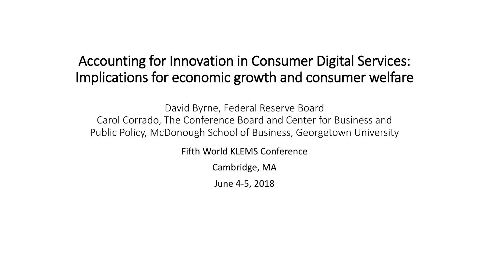#### Accounting for Innovation in Consumer Digital Services: Implications for economic growth and consumer welfare

David Byrne, Federal Reserve Board Carol Corrado, The Conference Board and Center for Business and Public Policy, McDonough School of Business, Georgetown University

Fifth World KLEMS Conference

Cambridge, MA

June 4-5, 2018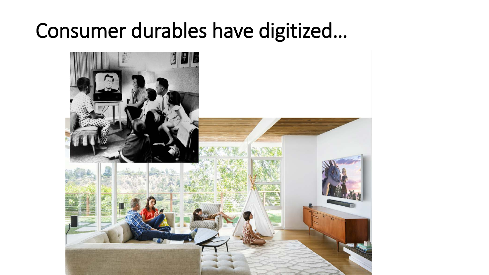#### Consumer durables have digitized...

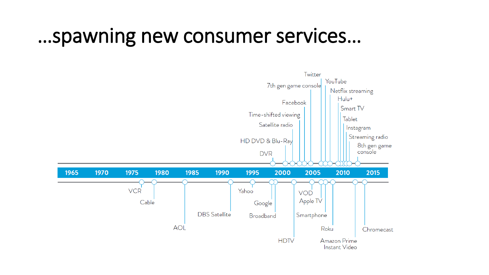#### ... spawning new consumer services...

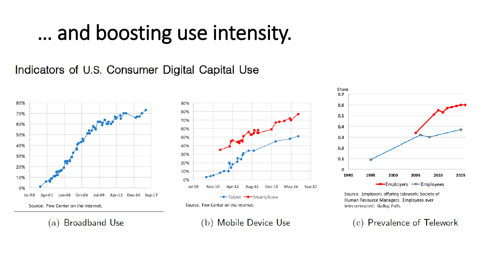#### ... and boosting use intensity.

Indicators of U.S. Consumer Digital Capital Use



**Broadband Use** (a)



(b) Mobile Device Use



Source. Employers offering telework: Society of Human Resource Managers. Employees ever telecommuted: Gallup Polls.

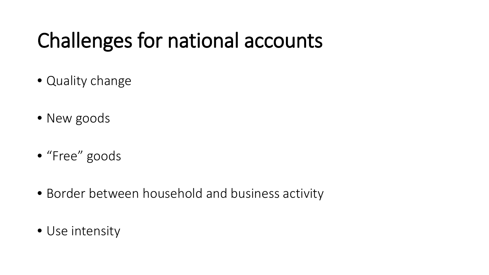## Challenges for national accounts

- Quality change
- New goods
- "Free" goods
- Border between household and business activity
- Use intensity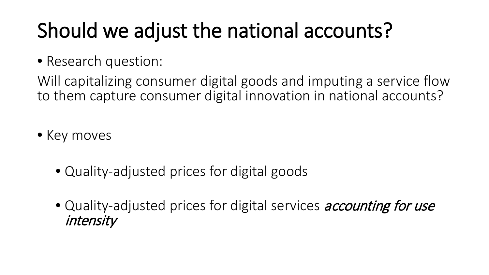# Should we adjust the national accounts?

• Research question:

Will capitalizing consumer digital goods and imputing a service flow to them capture consumer digital innovation in national accounts?

- Key moves
	- Quality-adjusted prices for digital goods
	- Quality-adjusted prices for digital services *accounting for use* intensity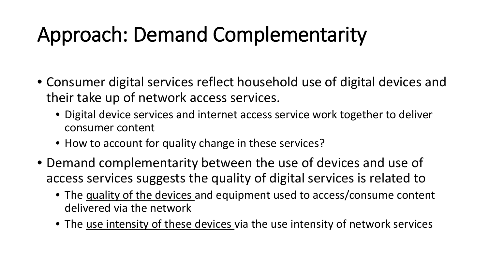# Approach: Demand Complementarity

- Consumer digital services reflect household use of digital devices and their take up of network access services.
	- Digital device services and internet access service work together to deliver consumer content
	- How to account for quality change in these services?
- Demand complementarity between the use of devices and use of access services suggests the quality of digital services is related to
	- The quality of the devices and equipment used to access/consume content delivered via the network
	- The use intensity of these devices via the use intensity of network services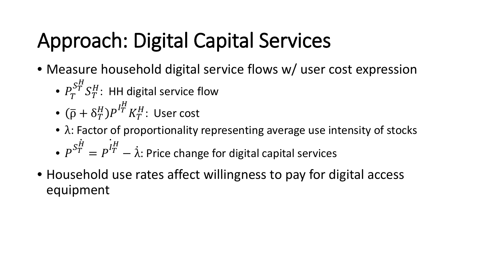# Approach: Digital Capital Services

- Measure household digital service flows w/ user cost expression
	- $\bullet$   $P_T^{S_T^H}$  $S_T^H$ : HH digital service flow
	- $(\overline{\rho} + \delta_T^H) P^{I_T^H}$  $K_T^H\colon$  User cost
	- $\bullet$   $\lambda$ : Factor of proportionality representing average use intensity of stocks
	- $P^{S_T^H} = P^{I_T^H}$  $-$  λ: Price change for digital capital services
- Household use rates affect willingness to pay for digital access equipment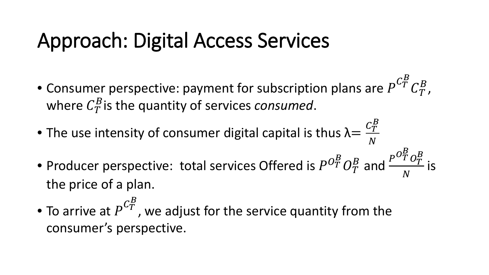#### Approach: Digital Access Services

- Consumer perspective: payment for subscription plans are  $P^{C_T^B}$  $\mathcal{C}^B_T$  , where  $C_T^B$  is the quantity of services *consumed*.
- The use intensity of consumer digital capital is thus  $\lambda = \frac{C_T^B}{N}$  $\boldsymbol{N}$
- Producer perspective: total services Offered is  $P^{O_T^B}$  $O_T^P$  $\frac{B}{T}$  and  $\frac{P^{O_T^B}}{N}$  $O_T^B$  $\boldsymbol{N}$ is the price of a plan.
- $\bullet$  To arrive at  $P^{\textit{C}^B_T}$ , we adjust for the service quantity from the consumer's perspective.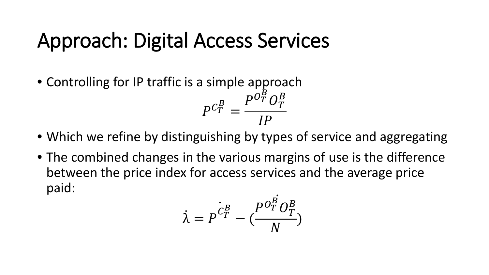#### Approach: Digital Access Services

- Controlling for IP traffic is a simple approach  $P^{C_T^B}$ =  $P^{O_T^B}$  $O_T^B$
- $\overline{I}$ • Which we refine by distinguishing by types of service and aggregating
- The combined changes in the various margins of use is the difference between the price index for access services and the average price paid:

$$
\dot{\lambda} = P^{\dot{C}_T^B} - \left(\frac{P^{\dot{O}_T^B} O_T^B}{N}\right)
$$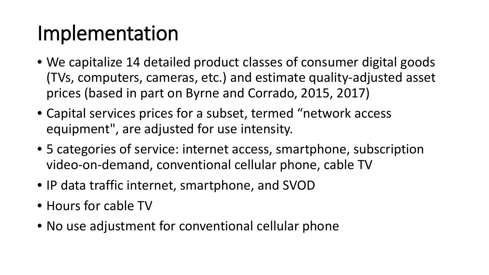#### Implementation

- We capitalize 14 detailed product classes of consumer digital goods (TVs, computers, cameras, etc.) and estimate quality-adjusted asset prices (based in part on Byrne and Corrado, 2015, 2017)
- Capital services prices for a subset, termed "network access equipment", are adjusted for use intensity.
- 5 categories of service: internet access, smartphone, subscription video-on-demand, conventional cellular phone, cable TV
- IP data traffic internet, smartphone, and SVOD
- Hours for cable TV
- No use adjustment for conventional cellular phone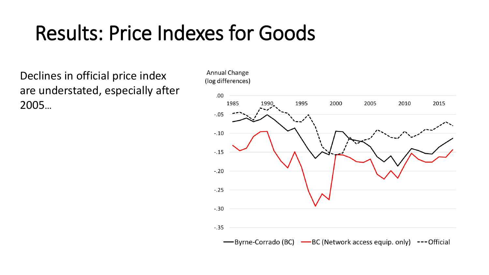#### Results: Price Indexes for Goods

Declines in official price index are understated, especially after 2005…



-Byrne-Corrado (BC) -BC (Network access equip. only) ---Official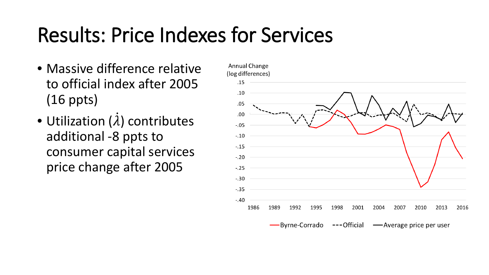### Results: Price Indexes for Services

- Massive difference relative to official index after 2005 (16 ppts)
- Utilization (λ) contributes additional -8 ppts to consumer capital services price change after 2005

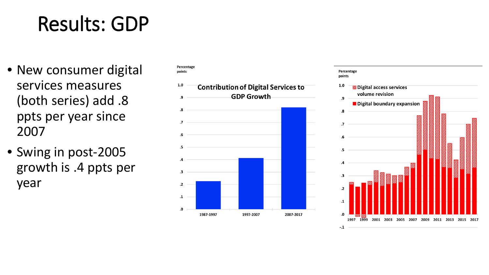## Results: GDP

- New consumer digital services measures (both series) add .8 ppts per year since 2007
- Swing in post-2005 growth is .4 ppts per year



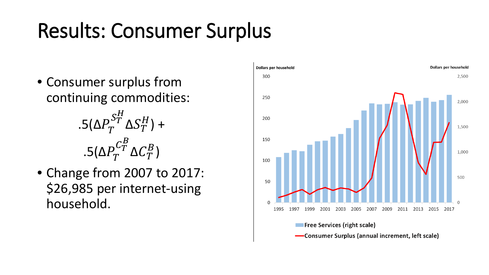# Results: Consumer Surplus

- Consumer surplus from continuing commodities:
	- .5( $\Delta P_T^{S_T^H}$  $\Delta S_T^H$ ) + .5( $\Delta P_T^{C^B_T}$  $\Delta C_T^B$  )
- Change from 2007 to 2017: \$26,985 per internet-using household.